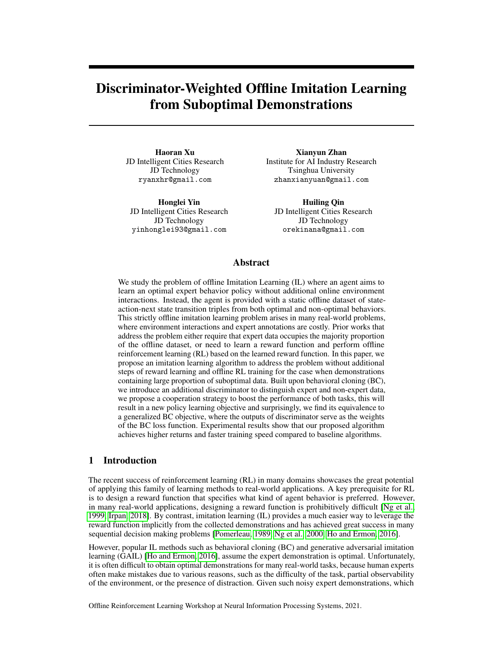# Discriminator-Weighted Offline Imitation Learning from Suboptimal Demonstrations

Haoran Xu JD Intelligent Cities Research JD Technology ryanxhr@gmail.com

Honglei Yin JD Intelligent Cities Research JD Technology yinhonglei93@gmail.com

Xianyun Zhan Institute for AI Industry Research Tsinghua University zhanxianyuan@gmail.com

Huiling Qin JD Intelligent Cities Research JD Technology orekinana@gmail.com

## Abstract

We study the problem of offline Imitation Learning (IL) where an agent aims to learn an optimal expert behavior policy without additional online environment interactions. Instead, the agent is provided with a static offline dataset of stateaction-next state transition triples from both optimal and non-optimal behaviors. This strictly offline imitation learning problem arises in many real-world problems, where environment interactions and expert annotations are costly. Prior works that address the problem either require that expert data occupies the majority proportion of the offline dataset, or need to learn a reward function and perform offline reinforcement learning (RL) based on the learned reward function. In this paper, we propose an imitation learning algorithm to address the problem without additional steps of reward learning and offline RL training for the case when demonstrations containing large proportion of suboptimal data. Built upon behavioral cloning (BC), we introduce an additional discriminator to distinguish expert and non-expert data, we propose a cooperation strategy to boost the performance of both tasks, this will result in a new policy learning objective and surprisingly, we find its equivalence to a generalized BC objective, where the outputs of discriminator serve as the weights of the BC loss function. Experimental results show that our proposed algorithm achieves higher returns and faster training speed compared to baseline algorithms.

# 1 Introduction

The recent success of reinforcement learning (RL) in many domains showcases the great potential of applying this family of learning methods to real-world applications. A key prerequisite for RL is to design a reward function that specifies what kind of agent behavior is preferred. However, in many real-world applications, designing a reward function is prohibitively difficult [\[Ng et al.,](#page-9-0) [1999,](#page-9-0) [Irpan, 2018\]](#page-9-1). By contrast, imitation learning (IL) provides a much easier way to leverage the reward function implicitly from the collected demonstrations and has achieved great success in many sequential decision making problems [\[Pomerleau, 1989,](#page-9-2) [Ng et al., 2000,](#page-9-3) [Ho and Ermon, 2016\]](#page-9-4).

However, popular IL methods such as behavioral cloning (BC) and generative adversarial imitation learning (GAIL) [\[Ho and Ermon, 2016\]](#page-9-4), assume the expert demonstration is optimal. Unfortunately, it is often difficult to obtain optimal demonstrations for many real-world tasks, because human experts often make mistakes due to various reasons, such as the difficulty of the task, partial observability of the environment, or the presence of distraction. Given such noisy expert demonstrations, which

Offline Reinforcement Learning Workshop at Neural Information Processing Systems, 2021.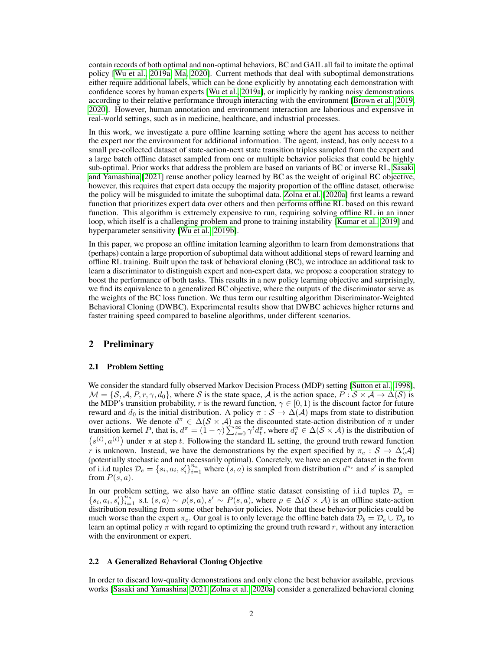contain records of both optimal and non-optimal behaviors, BC and GAIL all fail to imitate the optimal policy [\[Wu et al., 2019a,](#page-9-5) [Ma, 2020\]](#page-9-6). Current methods that deal with suboptimal demonstrations either require additional labels, which can be done explicitly by annotating each demonstration with confidence scores by human experts [\[Wu et al., 2019a\]](#page-9-5), or implicitly by ranking noisy demonstrations according to their relative performance through interacting with the environment [\[Brown et al., 2019,](#page-9-7) [2020\]](#page-9-8). However, human annotation and environment interaction are laborious and expensive in real-world settings, such as in medicine, healthcare, and industrial processes.

In this work, we investigate a pure offline learning setting where the agent has access to neither the expert nor the environment for additional information. The agent, instead, has only access to a small pre-collected dataset of state-action-next state transition triples sampled from the expert and a large batch offline dataset sampled from one or multiple behavior policies that could be highly sub-optimal. Prior works that address the problem are based on variants of BC or inverse RL, [Sasaki](#page-9-9) [and Yamashina](#page-9-9) [\[2021\]](#page-9-9) reuse another policy learned by BC as the weight of original BC objective, however, this requires that expert data occupy the majority proportion of the offline dataset, otherwise the policy will be misguided to imitate the suboptimal data. [Zolna et al.](#page-9-10) [\[2020a\]](#page-9-10) first learns a reward function that prioritizes expert data over others and then performs offline RL based on this reward function. This algorithm is extremely expensive to run, requiring solving offline RL in an inner loop, which itself is a challenging problem and prone to training instability [\[Kumar et al., 2019\]](#page-9-11) and hyperparameter sensitivity [\[Wu et al., 2019b\]](#page-9-12).

In this paper, we propose an offline imitation learning algorithm to learn from demonstrations that (perhaps) contain a large proportion of suboptimal data without additional steps of reward learning and offline RL training. Built upon the task of behavioral cloning (BC), we introduce an additional task to learn a discriminator to distinguish expert and non-expert data, we propose a cooperation strategy to boost the performance of both tasks. This results in a new policy learning objective and surprisingly, we find its equivalence to a generalized BC objective, where the outputs of the discriminator serve as the weights of the BC loss function. We thus term our resulting algorithm Discriminator-Weighted Behavioral Cloning (DWBC). Experimental results show that DWBC achieves higher returns and faster training speed compared to baseline algorithms, under different scenarios.

# 2 Preliminary

#### 2.1 Problem Setting

We consider the standard fully observed Markov Decision Process (MDP) setting [\[Sutton et al., 1998\]](#page-9-13),  $\mathcal{M} = \{S, A, P, r, \gamma, d_0\}$ , where S is the state space, A is the action space,  $P : S \times A \rightarrow \Delta(S)$  is the MDP's transition probability, r is the reward function,  $\gamma \in [0, 1)$  is the discount factor for future reward and  $d_0$  is the initial distribution. A policy  $\pi : S \to \Delta(\mathcal{A})$  maps from state to distribution over actions. We denote  $d^{\pi} \in \Delta(\mathcal{S} \times \mathcal{A})$  as the discounted state-action distribution of  $\pi$  under transition kernel P, that is,  $d^{\pi} = (1 - \gamma) \sum_{t=0}^{\infty} \gamma^{t} d_{t}^{\pi}$ , where  $d_{t}^{\pi} \in \Delta(\mathcal{S} \times \mathcal{A})$  is the distribution of  $(s^{(t)}, a^{(t)})$  under  $\pi$  at step t. Following the standard IL setting, the ground truth reward function r is unknown. Instead, we have the demonstrations by the expert specified by  $\pi_e : S \to \Delta(\mathcal{A})$ (potentially stochastic and not necessarily optimal). Concretely, we have an expert dataset in the form of i.i.d tuples  $\mathcal{D}_e = \{s_i, a_i, s'_i\}_{i=1}^{n_e}$  where  $(s, a)$  is sampled from distribution  $d^{\pi_e}$  and  $s'$  is sampled from  $P(s, a)$ .

In our problem setting, we also have an offline static dataset consisting of i.i.d tuples  $\mathcal{D}_{o}$  =  ${s_i, a_i, s'_i}_{i=1}^{n_o}$  s.t.  $(s, a) \sim \rho(s, a), s' \sim P(s, a)$ , where  $\rho \in \Delta(\mathcal{S} \times \mathcal{A})$  is an offline state-action distribution resulting from some other behavior policies. Note that these behavior policies could be much worse than the expert  $\pi_e$ . Our goal is to only leverage the offline batch data  $\mathcal{D}_b = \mathcal{D}_e \cup \mathcal{D}_o$  to learn an optimal policy  $\pi$  with regard to optimizing the ground truth reward r, without any interaction with the environment or expert.

#### <span id="page-1-0"></span>2.2 A Generalized Behavioral Cloning Objective

In order to discard low-quality demonstrations and only clone the best behavior available, previous works [\[Sasaki and Yamashina, 2021,](#page-9-9) [Zolna et al., 2020a\]](#page-9-10) consider a generalized behavioral cloning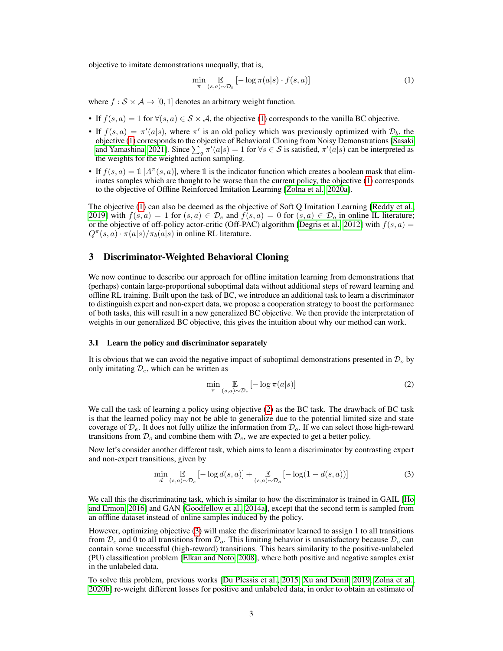objective to imitate demonstrations unequally, that is,

<span id="page-2-0"></span>
$$
\min_{\pi} \mathop{\mathbb{E}}_{(s,a)\sim\mathcal{D}_b} \left[ -\log \pi(a|s) \cdot f(s,a) \right] \tag{1}
$$

where  $f : S \times A \rightarrow [0, 1]$  denotes an arbitrary weight function.

- If  $f(s, a) = 1$  for  $\forall (s, a) \in S \times A$ , the objective [\(1\)](#page-2-0) corresponds to the vanilla BC objective.
- If  $f(s, a) = \pi'(a|s)$ , where  $\pi'$  is an old policy which was previously optimized with  $\mathcal{D}_b$ , the objective [\(1\)](#page-2-0) corresponds to the objective of Behavioral Cloning from Noisy Demonstrations [\[Sasaki](#page-9-9) [and Yamashina, 2021\]](#page-9-9). Since  $\sum_a \pi'(a|s) = 1$  for  $\forall s \in S$  is satisfied,  $\pi'(a|s)$  can be interpreted as the weights for the weighted action sampling.
- If  $f(s, a) = \mathbb{1}[A^{\pi}(s, a)]$ , where 1 is the indicator function which creates a boolean mask that eliminates samples which are thought to be worse than the current policy, the objective [\(1\)](#page-2-0) corresponds to the objective of Offline Reinforced Imitation Learning [\[Zolna et al., 2020a\]](#page-9-10).

The objective [\(1\)](#page-2-0) can also be deemed as the objective of Soft Q Imitation Learning [\[Reddy et al.,](#page-10-0) [2019\]](#page-10-0) with  $f(s, a) = 1$  for  $(s, a) \in \mathcal{D}_e$  and  $f(s, a) = 0$  for  $(s, a) \in \mathcal{D}_o$  in online IL literature; or the objective of off-policy actor-critic (Off-PAC) algorithm [\[Degris et al., 2012\]](#page-10-1) with  $f(s, a)$  =  $Q^{\pi}(s, a) \cdot \pi(a|s) / \pi_b(a|s)$  in online RL literature.

# 3 Discriminator-Weighted Behavioral Cloning

We now continue to describe our approach for offline imitation learning from demonstrations that (perhaps) contain large-proportional suboptimal data without additional steps of reward learning and offline RL training. Built upon the task of BC, we introduce an additional task to learn a discriminator to distinguish expert and non-expert data, we propose a cooperation strategy to boost the performance of both tasks, this will result in a new generalized BC objective. We then provide the interpretation of weights in our generalized BC objective, this gives the intuition about why our method can work.

#### <span id="page-2-3"></span>3.1 Learn the policy and discriminator separately

It is obvious that we can avoid the negative impact of suboptimal demonstrations presented in  $\mathcal{D}_o$  by only imitating  $\mathcal{D}_{e}$ , which can be written as

<span id="page-2-1"></span>
$$
\min_{\pi} \mathop{\mathbb{E}}_{(s,a)\sim\mathcal{D}_e} \left[ -\log \pi(a|s) \right] \tag{2}
$$

We call the task of learning a policy using objective [\(2\)](#page-2-1) as the BC task. The drawback of BC task is that the learned policy may not be able to generalize due to the potential limited size and state coverage of  $\mathcal{D}_e$ . It does not fully utilize the information from  $\mathcal{D}_o$ . If we can select those high-reward transitions from  $\mathcal{D}_{o}$  and combine them with  $\mathcal{D}_{e}$ , we are expected to get a better policy.

Now let's consider another different task, which aims to learn a discriminator by contrasting expert and non-expert transitions, given by

<span id="page-2-2"></span>
$$
\min_{d} \mathop{\mathbb{E}}_{(s,a)\sim\mathcal{D}_e} \left[ -\log d(s,a) \right] + \mathop{\mathbb{E}}_{(s,a)\sim\mathcal{D}_o} \left[ -\log(1 - d(s,a)) \right] \tag{3}
$$

We call this the discriminating task, which is similar to how the discriminator is trained in GAIL [\[Ho](#page-9-4) [and Ermon, 2016\]](#page-9-4) and GAN [\[Goodfellow et al., 2014a\]](#page-10-2), except that the second term is sampled from an offline dataset instead of online samples induced by the policy.

However, optimizing objective [\(3\)](#page-2-2) will make the discriminator learned to assign 1 to all transitions from  $\mathcal{D}_e$  and 0 to all transitions from  $\mathcal{D}_o$ . This limiting behavior is unsatisfactory because  $\mathcal{D}_o$  can contain some successful (high-reward) transitions. This bears similarity to the positive-unlabeled (PU) classification problem [\[Elkan and Noto, 2008\]](#page-10-3), where both positive and negative samples exist in the unlabeled data.

To solve this problem, previous works [\[Du Plessis et al., 2015,](#page-10-4) [Xu and Denil, 2019,](#page-10-5) [Zolna et al.,](#page-10-6) [2020b\]](#page-10-6) re-weight different losses for positive and unlabeled data, in order to obtain an estimate of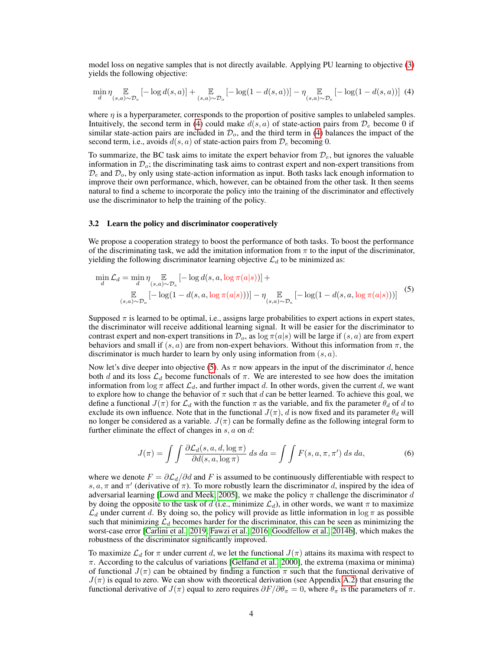model loss on negative samples that is not directly available. Applying PU learning to objective [\(3\)](#page-2-2) yields the following objective:

<span id="page-3-0"></span>
$$
\min_{d} \eta \mathop{\mathbb{E}}_{(s,a)\sim \mathcal{D}_e} \left[ -\log d(s,a) \right] + \mathop{\mathbb{E}}_{(s,a)\sim \mathcal{D}_o} \left[ -\log(1-d(s,a)) \right] - \eta \mathop{\mathbb{E}}_{(s,a)\sim \mathcal{D}_e} \left[ -\log(1-d(s,a)) \right] \tag{4}
$$

where  $\eta$  is a hyperparameter, corresponds to the proportion of positive samples to unlabeled samples. Intuitively, the second term in [\(4\)](#page-3-0) could make  $d(s, a)$  of state-action pairs from  $\mathcal{D}_e$  become 0 if similar state-action pairs are included in  $\mathcal{D}_{o}$ , and the third term in [\(4\)](#page-3-0) balances the impact of the second term, i.e., avoids  $d(s, a)$  of state-action pairs from  $\mathcal{D}_e$  becoming 0.

To summarize, the BC task aims to imitate the expert behavior from  $\mathcal{D}_e$ , but ignores the valuable information in  $\mathcal{D}_o$ ; the discriminating task aims to contrast expert and non-expert transitions from  $\mathcal{D}_e$  and  $\mathcal{D}_o$ , by only using state-action information as input. Both tasks lack enough information to improve their own performance, which, however, can be obtained from the other task. It then seems natural to find a scheme to incorporate the policy into the training of the discriminator and effectively use the discriminator to help the training of the policy.

## <span id="page-3-2"></span>3.2 Learn the policy and discriminator cooperatively

We propose a cooperation strategy to boost the performance of both tasks. To boost the performance of the discriminating task, we add the imitation information from  $\pi$  to the input of the discriminator, yielding the following discriminator learning objective  $\mathcal{L}_d$  to be minimized as:

<span id="page-3-1"></span>
$$
\min_{d} \mathcal{L}_{d} = \min_{d} \eta \mathop{\mathbb{E}}_{(s,a)\sim\mathcal{D}_{c}} \left[ -\log d(s, a, \log \pi(a|s)) \right] + \mathop{\mathbb{E}}_{(s,a)\sim\mathcal{D}_{o}} \left[ -\log(1 - d(s, a, \log \pi(a|s))) \right] - \eta \mathop{\mathbb{E}}_{(s,a)\sim\mathcal{D}_{c}} \left[ -\log(1 - d(s, a, \log \pi(a|s))) \right] \tag{5}
$$

Supposed  $\pi$  is learned to be optimal, i.e., assigns large probabilities to expert actions in expert states, the discriminator will receive additional learning signal. It will be easier for the discriminator to contrast expert and non-expert transitions in  $\mathcal{D}_o$ , as  $\log \pi(a|s)$  will be large if  $(s, a)$  are from expert behaviors and small if  $(s, a)$  are from non-expert behaviors. Without this information from  $\pi$ , the discriminator is much harder to learn by only using information from  $(s, a)$ .

Now let's dive deeper into objective [\(5\)](#page-3-1). As  $\pi$  now appears in the input of the discriminator d, hence both d and its loss  $\mathcal{L}_d$  become functionals of  $\pi$ . We are interested to see how does the imitation information from  $\log \pi$  affect  $\mathcal{L}_d$ , and further impact d. In other words, given the current d, we want to explore how to change the behavior of  $\pi$  such that d can be better learned. To achieve this goal, we define a functional  $J(\pi)$  for  $\mathcal{L}_d$  with the function  $\pi$  as the variable, and fix the parameter  $\theta_d$  of d to exclude its own influence. Note that in the functional  $J(\pi)$ , d is now fixed and its parameter  $\theta_d$  will no longer be considered as a variable.  $J(\pi)$  can be formally define as the following integral form to further eliminate the effect of changes in  $s$ ,  $a$  on  $d$ :

<span id="page-3-3"></span>
$$
J(\pi) = \int \int \frac{\partial \mathcal{L}_d(s, a, d, \log \pi)}{\partial d(s, a, \log \pi)} ds \, da = \int \int F(s, a, \pi, \pi') \, ds \, da,\tag{6}
$$

where we denote  $F = \frac{\partial \mathcal{L}_d}{\partial d}$  and F is assumed to be continuously differentiable with respect to s,  $a, \pi$  and  $\pi'$  (derivative of  $\pi$ ). To more robustly learn the discriminator d, inspired by the idea of adversarial learning [\[Lowd and Meek, 2005\]](#page-10-7), we make the policy  $\pi$  challenge the discriminator d by doing the opposite to the task of d (i.e., minimize  $\mathcal{L}_d$ ), in other words, we want  $\pi$  to maximize  $\mathcal{L}_d$  under current d. By doing so, the policy will provide as little information in log  $\pi$  as possible such that minimizing  $\mathcal{L}_d$  becomes harder for the discriminator, this can be seen as minimizing the worst-case error [\[Carlini et al., 2019,](#page-10-8) [Fawzi et al., 2016,](#page-10-9) [Goodfellow et al., 2014b\]](#page-10-10), which makes the robustness of the discriminator significantly improved.

To maximize  $\mathcal{L}_d$  for  $\pi$  under current d, we let the functional  $J(\pi)$  attains its maxima with respect to  $\pi$ . According to the calculus of variations [\[Gelfand et al., 2000\]](#page-10-11), the extrema (maxima or minima) of functional  $J(\pi)$  can be obtained by finding a function  $\pi$  such that the functional derivative of  $J(\pi)$  is equal to zero. We can show with theoretical derivation (see Appendix [A.2\)](#page-14-0) that ensuring the functional derivative of  $J(\pi)$  equal to zero requires  $\partial F/\partial \theta_{\pi} = 0$ , where  $\theta_{\pi}$  is the parameters of  $\pi$ .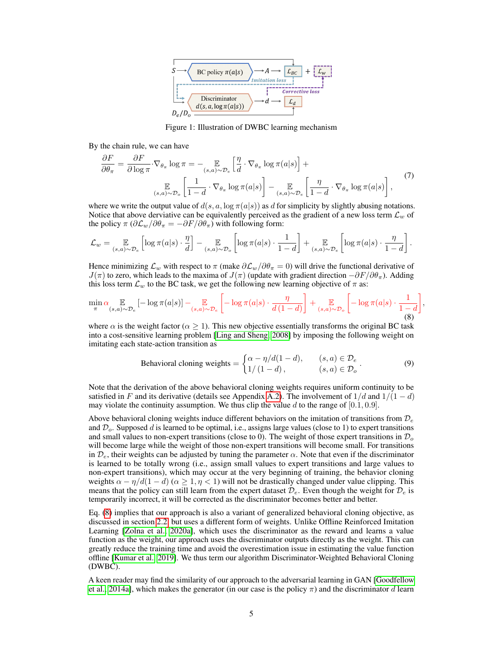

<span id="page-4-2"></span><span id="page-4-1"></span>Figure 1: Illustration of DWBC learning mechanism

By the chain rule, we can have

$$
\frac{\partial F}{\partial \theta_{\pi}} = \frac{\partial F}{\partial \log \pi} \cdot \nabla_{\theta_{\pi}} \log \pi = - \underset{(s,a) \sim \mathcal{D}_e}{\mathbb{E}} \left[ \frac{\eta}{d} \cdot \nabla_{\theta_{\pi}} \log \pi(a|s) \right] + \underset{(s,a) \sim \mathcal{D}_e}{\mathbb{E}} \left[ \frac{1}{1-d} \cdot \nabla_{\theta_{\pi}} \log \pi(a|s) \right] - \underset{(s,a) \sim \mathcal{D}_e}{\mathbb{E}} \left[ \frac{\eta}{1-d} \cdot \nabla_{\theta_{\pi}} \log \pi(a|s) \right], \tag{7}
$$

where we write the output value of  $d(s, a, \log \pi(a|s))$  as d for simplicity by slightly abusing notations. Notice that above derviative can be equivalently perceived as the gradient of a new loss term  $\mathcal{L}_w$  of the policy  $\pi (\partial \mathcal{L}_w / \partial \theta_\pi = -\partial F / \partial \theta_\pi)$  with following form:

$$
\mathcal{L}_w = \mathop{\mathbb{E}}_{(s,a)\sim\mathcal{D}_e} \left[ \log \pi(a|s) \cdot \frac{\eta}{d} \right] - \mathop{\mathbb{E}}_{(s,a)\sim\mathcal{D}_o} \left[ \log \pi(a|s) \cdot \frac{1}{1-d} \right] + \mathop{\mathbb{E}}_{(s,a)\sim\mathcal{D}_e} \left[ \log \pi(a|s) \cdot \frac{\eta}{1-d} \right].
$$

Hence minimizing  $\mathcal{L}_w$  with respect to  $\pi$  (make  $\partial \mathcal{L}_w/\partial \theta_{\pi} = 0$ ) will drive the functional derivative of  $J(\pi)$  to zero, which leads to the maxima of  $J(\pi)$  (update with gradient direction  $-\partial F/\partial \theta_{\pi}$ ). Adding this loss term  $\mathcal{L}_w$  to the BC task, we get the following new learning objective of  $\pi$  as:

$$
\min_{\pi} \alpha \mathop{\mathbb{E}}_{(s,a)\sim\mathcal{D}_e} \left[ -\log \pi(a|s) \right] - \mathop{\mathbb{E}}_{(s,a)\sim\mathcal{D}_e} \left[ -\log \pi(a|s) \cdot \frac{\eta}{d\left(1-d\right)} \right] + \mathop{\mathbb{E}}_{(s,a)\sim\mathcal{D}_o} \left[ -\log \pi(a|s) \cdot \frac{1}{1-d} \right],\tag{8}
$$

where  $\alpha$  is the weight factor ( $\alpha \ge 1$ ). This new objective essentially transforms the original BC task into a cost-sensitive learning problem [\[Ling and Sheng, 2008\]](#page-10-12) by imposing the following weight on imitating each state-action transition as

<span id="page-4-0"></span>Behavioral cloning weights =

\n
$$
\begin{cases}\n\alpha - \eta/d(1 - d), & (s, a) \in \mathcal{D}_e \\
1/(1 - d), & (s, a) \in \mathcal{D}_o\n\end{cases}.\n\tag{9}
$$

Note that the derivation of the above behavioral cloning weights requires uniform continuity to be satisfied in F and its derivative (details see Appendix [A.2\)](#page-14-0). The involvement of  $1/d$  and  $1/(1-d)$ may violate the continuity assumption. We thus clip the value d to the range of  $[0.1, 0.9]$ .

Above behavioral cloning weights induce different behaviors on the imitation of transitions from  $\mathcal{D}_e$ and  $\mathcal{D}_o$ . Supposed d is learned to be optimal, i.e., assigns large values (close to 1) to expert transitions and small values to non-expert transitions (close to 0). The weight of those expert transitions in  $\mathcal{D}_o$ will become large while the weight of those non-expert transitions will become small. For transitions in  $\mathcal{D}_e$ , their weights can be adjusted by tuning the parameter  $\alpha$ . Note that even if the discriminator is learned to be totally wrong (i.e., assign small values to expert transitions and large values to non-expert transitions), which may occur at the very beginning of training, the behavior cloning weights  $\alpha - \eta/d(1-d)$  ( $\alpha \ge 1, \eta < 1$ ) will not be drastically changed under value clipping. This means that the policy can still learn from the expert dataset  $\mathcal{D}_e$ . Even though the weight for  $\mathcal{D}_e$  is temporarily incorrect, it will be corrected as the discriminator becomes better and better.

Eq. [\(8\)](#page-4-0) implies that our approach is also a variant of generalized behavioral cloning objective, as discussed in section [2.2,](#page-1-0) but uses a different form of weights. Unlike Offline Reinforced Imitation Learning [\[Zolna et al., 2020a\]](#page-9-10), which uses the discriminator as the reward and learns a value function as the weight, our approach uses the discriminator outputs directly as the weight. This can greatly reduce the training time and avoid the overestimation issue in estimating the value function offline [\[Kumar et al., 2019\]](#page-9-11). We thus term our algorithm Discriminator-Weighted Behavioral Cloning (DWBC).

A keen reader may find the similarity of our approach to the adversarial learning in GAN [\[Goodfellow](#page-10-2) [et al., 2014a\]](#page-10-2), which makes the generator (in our case is the policy  $\pi$ ) and the discriminator d learn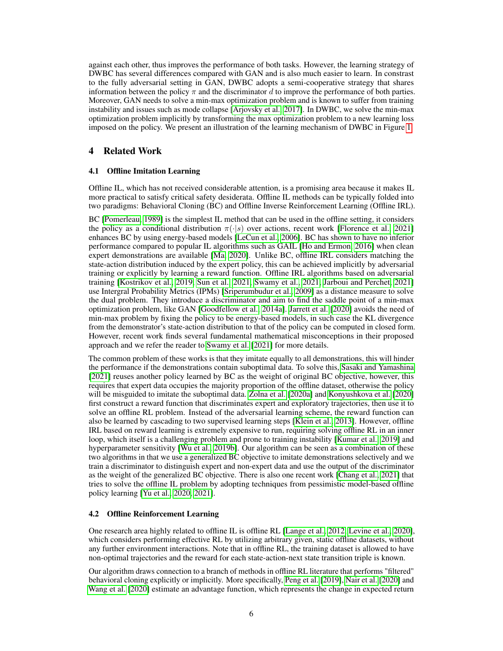against each other, thus improves the performance of both tasks. However, the learning strategy of DWBC has several differences compared with GAN and is also much easier to learn. In constrast to the fully adversarial setting in GAN, DWBC adopts a semi-cooperative strategy that shares information between the policy  $\pi$  and the discriminator d to improve the performance of both parties. Moreover, GAN needs to solve a min-max optimization problem and is known to suffer from training instability and issues such as mode collapse [\[Arjovsky et al., 2017\]](#page-10-13). In DWBC, we solve the min-max optimization problem implicitly by transforming the max optimization problem to a new learning loss imposed on the policy. We present an illustration of the learning mechanism of DWBC in Figure [1.](#page-4-1)

# 4 Related Work

## **Offline Imitation Learning**

Offline IL, which has not received considerable attention, is a promising area because it makes IL more practical to satisfy critical safety desiderata. Offline IL methods can be typically folded into two paradigms: Behavioral Cloning (BC) and Offline Inverse Reinforcement Learning (Offline IRL).

BC [\[Pomerleau, 1989\]](#page-9-2) is the simplest IL method that can be used in the offline setting, it considers the policy as a conditional distribution  $\pi(\cdot|s)$  over actions, recent work [\[Florence et al., 2021\]](#page-10-14) enhances BC by using energy-based models [\[LeCun et al., 2006\]](#page-10-15). BC has shown to have no inferior performance compared to popular IL algorithms such as GAIL [\[Ho and Ermon, 2016\]](#page-9-4) when clean expert demonstrations are available [\[Ma, 2020\]](#page-9-6). Unlike BC, offline IRL considers matching the state-action distribution induced by the expert policy, this can be achieved implicitly by adversarial training or explicitly by learning a reward function. Offline IRL algorithms based on adversarial training [\[Kostrikov et al., 2019,](#page-10-16) [Sun et al., 2021,](#page-10-17) [Swamy et al., 2021,](#page-10-18) [Jarboui and Perchet, 2021\]](#page-11-0) use Intergral Probability Metrics (IPMs) [\[Sriperumbudur et al., 2009\]](#page-11-1) as a distance measure to solve the dual problem. They introduce a discriminator and aim to find the saddle point of a min-max optimization problem, like GAN [\[Goodfellow et al., 2014a\]](#page-10-2). [Jarrett et al.](#page-11-2) [\[2020\]](#page-11-2) avoids the need of min-max problem by fixing the policy to be energy-based models, in such case the KL divergence from the demonstrator's state-action distribution to that of the policy can be computed in closed form. However, recent work finds several fundamental mathematical misconceptions in their proposed approach and we refer the reader to [Swamy et al.](#page-10-18) [\[2021\]](#page-10-18) for more details.

The common problem of these works is that they imitate equally to all demonstrations, this will hinder the performance if the demonstrations contain suboptimal data. To solve this, [Sasaki and Yamashina](#page-9-9) [\[2021\]](#page-9-9) reuses another policy learned by BC as the weight of original BC objective, however, this requires that expert data occupies the majority proportion of the offline dataset, otherwise the policy will be misguided to imitate the suboptimal data. [Zolna et al.](#page-9-10) [\[2020a\]](#page-9-10) and [Konyushkova et al.](#page-11-3) [\[2020\]](#page-11-3) first construct a reward function that discriminates expert and exploratory trajectories, then use it to solve an offline RL problem. Instead of the adversarial learning scheme, the reward function can also be learned by cascading to two supervised learning steps [\[Klein et al., 2013\]](#page-11-4). However, offline IRL based on reward learning is extremely expensive to run, requiring solving offline RL in an inner loop, which itself is a challenging problem and prone to training instability [\[Kumar et al., 2019\]](#page-9-11) and hyperparameter sensitivity [\[Wu et al., 2019b\]](#page-9-12). Our algorithm can be seen as a combination of these two algorithms in that we use a generalized BC objective to imitate demonstrations selectively and we train a discriminator to distinguish expert and non-expert data and use the output of the discriminator as the weight of the generalized BC objective. There is also one recent work [\[Chang et al., 2021\]](#page-11-5) that tries to solve the offline IL problem by adopting techniques from pessimistic model-based offline policy learning [\[Yu et al., 2020,](#page-11-6) [2021\]](#page-11-7).

## 4.2 Offline Reinforcement Learning

One research area highly related to offline IL is offline RL [\[Lange et al., 2012,](#page-11-8) [Levine et al., 2020\]](#page-11-9), which considers performing effective RL by utilizing arbitrary given, static offline datasets, without any further environment interactions. Note that in offline RL, the training dataset is allowed to have non-optimal trajectories and the reward for each state-action-next state transition triple is known.

Our algorithm draws connection to a branch of methods in offline RL literature that performs "filtered" behavioral cloning explicitly or implicitly. More specifically, [Peng et al.](#page-11-10) [\[2019\]](#page-11-10), [Nair et al.](#page-11-11) [\[2020\]](#page-11-11) and [Wang et al.](#page-11-12) [\[2020\]](#page-11-12) estimate an advantage function, which represents the change in expected return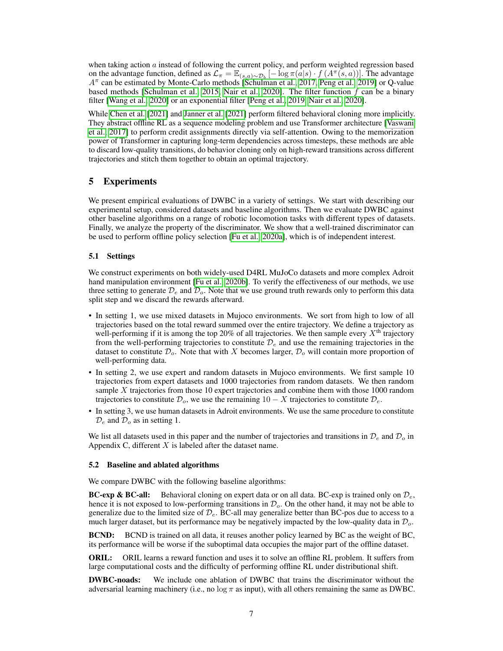when taking action  $a$  instead of following the current policy, and perform weighted regression based on the advantage function, defined as  $\mathcal{L}_{\pi} = \mathbb{E}_{(s,a)\sim \mathcal{D}_b}$  [ $-\log \pi(a|s) \cdot f(A^{\pi}(s,a))$ ]. The advantage  $A^{\pi}$  can be estimated by Monte-Carlo methods [\[Schulman et al., 2017,](#page-11-13) [Peng et al., 2019\]](#page-11-10) or Q-value based methods [\[Schulman et al., 2015,](#page-11-14) [Nair et al., 2020\]](#page-11-11). The filter function  $f$  can be a binary filter [\[Wang et al., 2020\]](#page-11-12) or an exponential filter [\[Peng et al., 2019,](#page-11-10) [Nair et al., 2020\]](#page-11-11).

While [Chen et al.](#page-11-15) [\[2021\]](#page-11-15) and [Janner et al.](#page-11-16) [\[2021\]](#page-11-16) perform filtered behavioral cloning more implicitly. They abstract offline RL as a sequence modeling problem and use Transformer architecture [\[Vaswani](#page-11-17) [et al., 2017\]](#page-11-17) to perform credit assignments directly via self-attention. Owing to the memorization power of Transformer in capturing long-term dependencies across timesteps, these methods are able to discard low-quality transitions, do behavior cloning only on high-reward transitions across different trajectories and stitch them together to obtain an optimal trajectory.

# 5 Experiments

We present empirical evaluations of DWBC in a variety of settings. We start with describing our experimental setup, considered datasets and baseline algorithms. Then we evaluate DWBC against other baseline algorithms on a range of robotic locomotion tasks with different types of datasets. Finally, we analyze the property of the discriminator. We show that a well-trained discriminator can be used to perform offline policy selection [\[Fu et al., 2020a\]](#page-12-0), which is of independent interest.

## 5.1 Settings

We construct experiments on both widely-used D4RL MuJoCo datasets and more complex Adroit hand manipulation environment [\[Fu et al., 2020b\]](#page-12-1). To verify the effectiveness of our methods, we use three setting to generate  $\mathcal{D}_e$  and  $\mathcal{D}_o$ . Note that we use ground truth rewards only to perform this data split step and we discard the rewards afterward.

- In setting 1, we use mixed datasets in Mujoco environments. We sort from high to low of all trajectories based on the total reward summed over the entire trajectory. We define a trajectory as well-performing if it is among the top 20% of all trajectories. We then sample every  $X<sup>th</sup>$  trajectory from the well-performing trajectories to constitute  $\mathcal{D}_e$  and use the remaining trajectories in the dataset to constitute  $\mathcal{D}_o$ . Note that with X becomes larger,  $\mathcal{D}_o$  will contain more proportion of well-performing data.
- In setting 2, we use expert and random datasets in Mujoco environments. We first sample 10 trajectories from expert datasets and 1000 trajectories from random datasets. We then random sample X trajectories from those 10 expert trajectories and combine them with those 1000 random trajectories to constitute  $\mathcal{D}_o$ , we use the remaining  $10 - X$  trajectories to constitute  $\mathcal{D}_e$ .
- In setting 3, we use human datasets in Adroit environments. We use the same procedure to constitute  $\mathcal{D}_e$  and  $\mathcal{D}_o$  as in setting 1.

We list all datasets used in this paper and the number of trajectories and transitions in  $\mathcal{D}_e$  and  $\mathcal{D}_o$  in Appendix C, different  $X$  is labeled after the dataset name.

#### 5.2 Baseline and ablated algorithms

We compare DWBC with the following baseline algorithms:

**BC-exp & BC-all:** Behavioral cloning on expert data or on all data. BC-exp is trained only on  $\mathcal{D}_e$ , hence it is not exposed to low-performing transitions in  $\mathcal{D}_o$ . On the other hand, it may not be able to generalize due to the limited size of  $\mathcal{D}_e$ . BC-all may generalize better than BC-pos due to access to a much larger dataset, but its performance may be negatively impacted by the low-quality data in  $\mathcal{D}_o$ .

**BCND:** BCND is trained on all data, it reuses another policy learned by BC as the weight of BC, its performance will be worse if the suboptimal data occupies the major part of the offline dataset.

ORIL: ORIL learns a reward function and uses it to solve an offline RL problem. It suffers from large computational costs and the difficulty of performing offline RL under distributional shift.

DWBC-noads: We include one ablation of DWBC that trains the discriminator without the adversarial learning machinery (i.e., no  $\log \pi$  as input), with all others remaining the same as DWBC.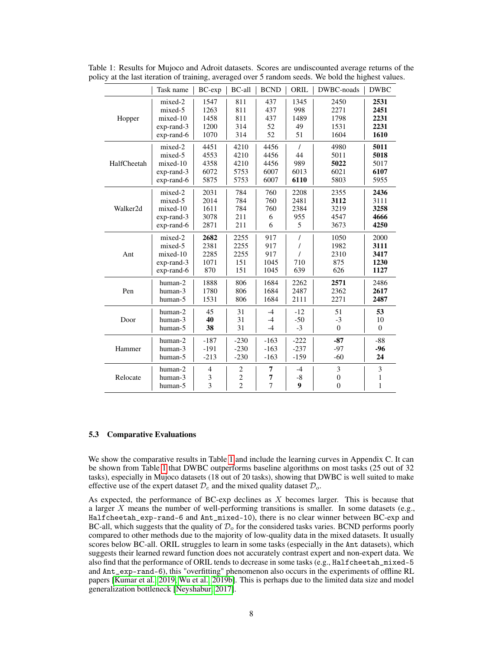|             | Task name     | $BC$ - $exp$   | BC-all         | <b>BCND</b> | ORIL     | DWBC-noads   | <b>DWBC</b>  |
|-------------|---------------|----------------|----------------|-------------|----------|--------------|--------------|
| Hopper      | mixed-2       | 1547           | 811            | 437         | 1345     | 2450         | 2531         |
|             | mixed-5       | 1263           | 811            | 437         | 998      | 2271         | 2451         |
|             | mixed-10      | 1458           | 811            | 437         | 1489     | 1798         | 2231         |
|             | $exp$ -rand-3 | 1200           | 314            | 52          | 49       | 1531         | 2231         |
|             | exp-rand-6    | 1070           | 314            | 52          | 51       | 1604         | 1610         |
|             | mixed-2       | 4451           | 4210           | 4456        | $\prime$ | 4980         | 5011         |
| HalfCheetah | mixed-5       | 4553           | 4210           | 4456        | 44       | 5011         | 5018         |
|             | mixed-10      | 4358           | 4210           | 4456        | 989      | 5022         | 5017         |
|             | exp-rand-3    | 6072           | 5753           | 6007        | 6013     | 6021         | 6107         |
|             | exp-rand-6    | 5875           | 5753           | 6007        | 6110     | 5803         | 5955         |
| Walker2d    | mixed-2       | 2031           | 784            | 760         | 2208     | 2355         | 2436         |
|             | mixed-5       | 2014           | 784            | 760         | 2481     | 3112         | 3111         |
|             | mixed-10      | 1611           | 784            | 760         | 2384     | 3219         | 3258         |
|             | $exp$ -rand-3 | 3078           | 211            | 6           | 955      | 4547         | 4666         |
|             | exp-rand-6    | 2871           | 211            | 6           | 5        | 3673         | 4250         |
|             | mixed-2       | 2682           | 2255           | 917         | $\prime$ | 1050         | 2000         |
| Ant         | mixed-5       | 2381           | 2255           | 917         |          | 1982         | 3111         |
|             | mixed-10      | 2285           | 2255           | 917         |          | 2310         | 3417         |
|             | $exp$ -rand-3 | 1071           | 151            | 1045        | 710      | 875          | 1230         |
|             | $exp$ -rand-6 | 870            | 151            | 1045        | 639      | 626          | 1127         |
|             | human-2       | 1888           | 806            | 1684        | 2262     | 2571         | 2486         |
| Pen         | human-3       | 1780           | 806            | 1684        | 2487     | 2362         | 2617         |
|             | human-5       | 1531           | 806            | 1684        | 2111     | 2271         | 2487         |
|             | human-2       | 45             | 31             | $-4$        | $-12$    | 51           | 53           |
| Door        | human-3       | 40             | 31             | $-4$        | $-50$    | $-3$         | 10           |
|             | human-5       | 38             | 31             | $-4$        | $-3$     | $\mathbf{0}$ | $\theta$     |
| Hammer      | human-2       | $-187$         | $-230$         | $-163$      | $-222$   | $-87$        | $-88$        |
|             | human-3       | $-191$         | $-230$         | $-163$      | $-237$   | $-97$        | $-96$        |
|             | human-5       | $-213$         | $-230$         | $-163$      | $-159$   | $-60$        | 24           |
|             | human-2       | $\overline{4}$ | $\overline{c}$ | 7           | $-4$     | 3            | 3            |
| Relocate    | human-3       | 3              | $\overline{c}$ | 7           | $-8$     | $\mathbf{0}$ | 1            |
|             | human-5       | 3              | $\overline{2}$ | 7           | 9        | $\mathbf{0}$ | $\mathbf{1}$ |

<span id="page-7-0"></span>Table 1: Results for Mujoco and Adroit datasets. Scores are undiscounted average returns of the policy at the last iteration of training, averaged over 5 random seeds. We bold the highest values.

## 5.3 Comparative Evaluations

We show the comparative results in Table [1](#page-7-0) and include the learning curves in Appendix C. It can be shown from Table [1](#page-7-0) that DWBC outperforms baseline algorithms on most tasks (25 out of 32 tasks), especially in Mujoco datasets (18 out of 20 tasks), showing that DWBC is well suited to make effective use of the expert dataset  $\mathcal{D}_e$  and the mixed quality dataset  $\mathcal{D}_o$ .

As expected, the performance of BC-exp declines as X becomes larger. This is because that a larger X means the number of well-performing transitions is smaller. In some datasets (e.g., Halfcheetah\_exp-rand-6 and Ant\_mixed-10), there is no clear winner between BC-exp and BC-all, which suggests that the quality of  $\mathcal{D}_{o}$  for the considered tasks varies. BCND performs poorly compared to other methods due to the majority of low-quality data in the mixed datasets. It usually scores below BC-all. ORIL struggles to learn in some tasks (especially in the Ant datasets), which suggests their learned reward function does not accurately contrast expert and non-expert data. We also find that the performance of ORIL tends to decrease in some tasks (e.g., Halfcheetah\_mixed-5 and Ant\_exp-rand-6), this "overfitting" phenomenon also occurs in the experiments of offline RL papers [\[Kumar et al., 2019,](#page-9-11) [Wu et al., 2019b\]](#page-9-12). This is perhaps due to the limited data size and model generalization bottleneck [\[Neyshabur, 2017\]](#page-12-2).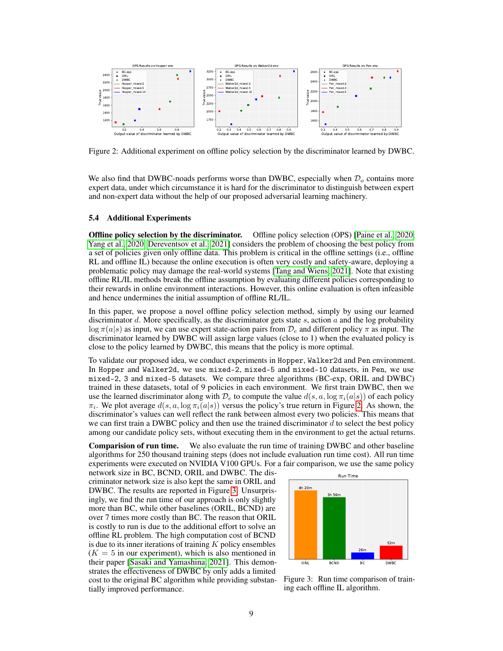

<span id="page-8-0"></span>Figure 2: Additional experiment on offline policy selection by the discriminator learned by DWBC.

We also find that DWBC-noads performs worse than DWBC, especially when  $\mathcal{D}_{o}$  contains more expert data, under which circumstance it is hard for the discriminator to distinguish between expert and non-expert data without the help of our proposed adversarial learning machinery.

#### 5.4 Additional Experiments

Offline policy selection by the discriminator. Offline policy selection (OPS) [\[Paine et al., 2020,](#page-12-3) [Yang et al., 2020,](#page-12-4) [Dereventsov et al., 2021\]](#page-12-5) considers the problem of choosing the best policy from a set of policies given only offline data. This problem is critical in the offline settings (i.e., offline RL and offline IL) because the online execution is often very costly and safety-aware, deploying a problematic policy may damage the real-world systems [\[Tang and Wiens, 2021\]](#page-12-6). Note that existing offline RL/IL methods break the offline assumption by evaluating different policies corresponding to their rewards in online environment interactions. However, this online evaluation is often infeasible and hence undermines the initial assumption of offline RL/IL.

In this paper, we propose a novel offline policy selection method, simply by using our learned discriminator  $d$ . More specifically, as the discriminator gets state  $s$ , action  $a$  and the log probability  $\log \pi(a|s)$  as input, we can use expert state-action pairs from  $\mathcal{D}_e$  and different policy  $\pi$  as input. The discriminator learned by DWBC will assign large values (close to 1) when the evaluated policy is close to the policy learned by DWBC, this means that the policy is more optimal.

To validate our proposed idea, we conduct experiments in Hopper, Walker2d and Pen environment. In Hopper and Walker2d, we use mixed-2, mixed-5 and mixed-10 datasets, in Pen, we use mixed-2, 3 and mixed-5 datasets. We compare three algorithms (BC-exp, ORIL and DWBC) trained in these datasets, total of 9 policies in each environment. We first train DWBC, then we use the learned discriminator along with  $\mathcal{D}_e$  to compute the value  $d(s, a, \log \pi_i(a|s))$  of each policy  $\pi_i$ . We plot average  $d(s, a, \log \pi_i(a|s))$  versus the policy's true return in Figure [2.](#page-8-0) As shown, the discriminator's values can well reflect the rank between almost every two policies. This means that we can first train a DWBC policy and then use the trained discriminator  $d$  to select the best policy among our candidate policy sets, without executing them in the environment to get the actual returns.

Comparision of run time. We also evaluate the run time of training DWBC and other baseline algorithms for 250 thousand training steps (does not include evaluation run time cost). All run time experiments were executed on NVIDIA V100 GPUs. For a fair comparison, we use the same policy

network size in BC, BCND, ORIL and DWBC. The discriminator network size is also kept the same in ORIL and DWBC. The results are reported in Figure [3.](#page-8-1) Unsurprisingly, we find the run time of our approach is only slightly more than BC, while other baselines (ORIL, BCND) are over 7 times more costly than BC. The reason that ORIL is costly to run is due to the additional effort to solve an offline RL problem. The high computation cost of BCND is due to its inner iterations of training  $K$  policy ensembles  $(K = 5$  in our experiment), which is also mentioned in their paper [\[Sasaki and Yamashina, 2021\]](#page-9-9). This demonstrates the effectiveness of DWBC by only adds a limited cost to the original BC algorithm while providing substantially improved performance.



<span id="page-8-1"></span>Figure 3: Run time comparison of training each offline IL algorithm.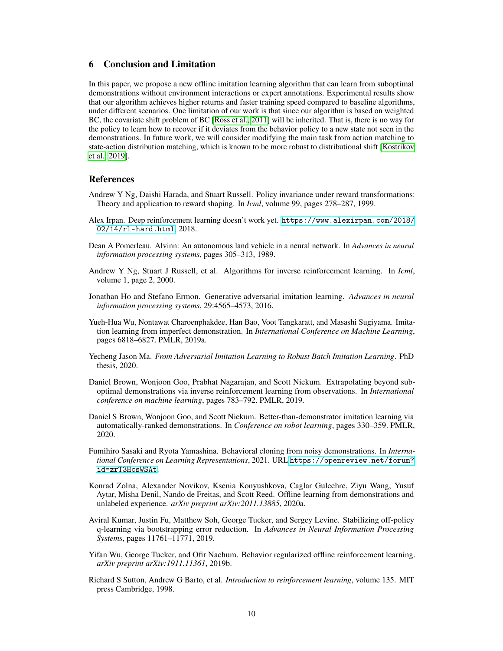# 6 Conclusion and Limitation

In this paper, we propose a new offline imitation learning algorithm that can learn from suboptimal demonstrations without environment interactions or expert annotations. Experimental results show that our algorithm achieves higher returns and faster training speed compared to baseline algorithms, under different scenarios. One limitation of our work is that since our algorithm is based on weighted BC, the covariate shift problem of BC [\[Ross et al., 2011\]](#page-12-7) will be inherited. That is, there is no way for the policy to learn how to recover if it deviates from the behavior policy to a new state not seen in the demonstrations. In future work, we will consider modifying the main task from action matching to state-action distribution matching, which is known to be more robust to distributional shift [\[Kostrikov](#page-10-16) [et al., 2019\]](#page-10-16).

## References

- <span id="page-9-0"></span>Andrew Y Ng, Daishi Harada, and Stuart Russell. Policy invariance under reward transformations: Theory and application to reward shaping. In *Icml*, volume 99, pages 278–287, 1999.
- <span id="page-9-1"></span>Alex Irpan. Deep reinforcement learning doesn't work yet. [https://www.alexirpan.com/2018/](https://www.alexirpan.com/2018/02/14/rl-hard.html) [02/14/rl-hard.html](https://www.alexirpan.com/2018/02/14/rl-hard.html), 2018.
- <span id="page-9-2"></span>Dean A Pomerleau. Alvinn: An autonomous land vehicle in a neural network. In *Advances in neural information processing systems*, pages 305–313, 1989.
- <span id="page-9-3"></span>Andrew Y Ng, Stuart J Russell, et al. Algorithms for inverse reinforcement learning. In *Icml*, volume 1, page 2, 2000.
- <span id="page-9-4"></span>Jonathan Ho and Stefano Ermon. Generative adversarial imitation learning. *Advances in neural information processing systems*, 29:4565–4573, 2016.
- <span id="page-9-5"></span>Yueh-Hua Wu, Nontawat Charoenphakdee, Han Bao, Voot Tangkaratt, and Masashi Sugiyama. Imitation learning from imperfect demonstration. In *International Conference on Machine Learning*, pages 6818–6827. PMLR, 2019a.
- <span id="page-9-6"></span>Yecheng Jason Ma. *From Adversarial Imitation Learning to Robust Batch Imitation Learning*. PhD thesis, 2020.
- <span id="page-9-7"></span>Daniel Brown, Wonjoon Goo, Prabhat Nagarajan, and Scott Niekum. Extrapolating beyond suboptimal demonstrations via inverse reinforcement learning from observations. In *International conference on machine learning*, pages 783–792. PMLR, 2019.
- <span id="page-9-8"></span>Daniel S Brown, Wonjoon Goo, and Scott Niekum. Better-than-demonstrator imitation learning via automatically-ranked demonstrations. In *Conference on robot learning*, pages 330–359. PMLR, 2020.
- <span id="page-9-9"></span>Fumihiro Sasaki and Ryota Yamashina. Behavioral cloning from noisy demonstrations. In *International Conference on Learning Representations*, 2021. URL [https://openreview.net/forum?](https://openreview.net/forum?id=zrT3HcsWSAt) [id=zrT3HcsWSAt](https://openreview.net/forum?id=zrT3HcsWSAt).
- <span id="page-9-10"></span>Konrad Zolna, Alexander Novikov, Ksenia Konyushkova, Caglar Gulcehre, Ziyu Wang, Yusuf Aytar, Misha Denil, Nando de Freitas, and Scott Reed. Offline learning from demonstrations and unlabeled experience. *arXiv preprint arXiv:2011.13885*, 2020a.
- <span id="page-9-11"></span>Aviral Kumar, Justin Fu, Matthew Soh, George Tucker, and Sergey Levine. Stabilizing off-policy q-learning via bootstrapping error reduction. In *Advances in Neural Information Processing Systems*, pages 11761–11771, 2019.
- <span id="page-9-12"></span>Yifan Wu, George Tucker, and Ofir Nachum. Behavior regularized offline reinforcement learning. *arXiv preprint arXiv:1911.11361*, 2019b.
- <span id="page-9-13"></span>Richard S Sutton, Andrew G Barto, et al. *Introduction to reinforcement learning*, volume 135. MIT press Cambridge, 1998.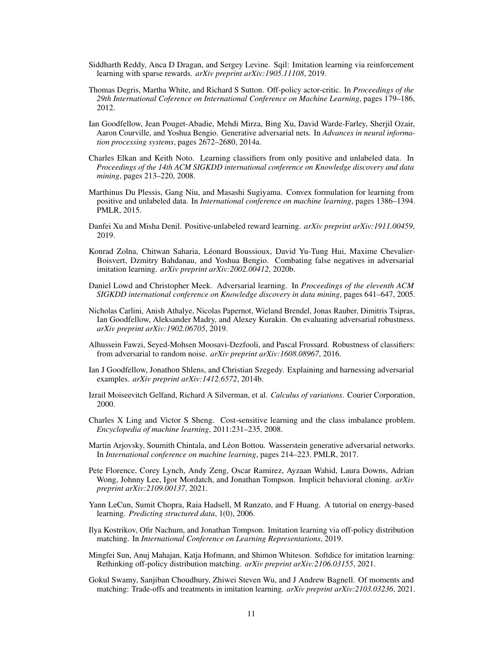- <span id="page-10-0"></span>Siddharth Reddy, Anca D Dragan, and Sergey Levine. Sqil: Imitation learning via reinforcement learning with sparse rewards. *arXiv preprint arXiv:1905.11108*, 2019.
- <span id="page-10-1"></span>Thomas Degris, Martha White, and Richard S Sutton. Off-policy actor-critic. In *Proceedings of the 29th International Coference on International Conference on Machine Learning*, pages 179–186, 2012.
- <span id="page-10-2"></span>Ian Goodfellow, Jean Pouget-Abadie, Mehdi Mirza, Bing Xu, David Warde-Farley, Sherjil Ozair, Aaron Courville, and Yoshua Bengio. Generative adversarial nets. In *Advances in neural information processing systems*, pages 2672–2680, 2014a.
- <span id="page-10-3"></span>Charles Elkan and Keith Noto. Learning classifiers from only positive and unlabeled data. In *Proceedings of the 14th ACM SIGKDD international conference on Knowledge discovery and data mining*, pages 213–220, 2008.
- <span id="page-10-4"></span>Marthinus Du Plessis, Gang Niu, and Masashi Sugiyama. Convex formulation for learning from positive and unlabeled data. In *International conference on machine learning*, pages 1386–1394. PMLR, 2015.
- <span id="page-10-5"></span>Danfei Xu and Misha Denil. Positive-unlabeled reward learning. *arXiv preprint arXiv:1911.00459*, 2019.
- <span id="page-10-6"></span>Konrad Zolna, Chitwan Saharia, Léonard Boussioux, David Yu-Tung Hui, Maxime Chevalier-Boisvert, Dzmitry Bahdanau, and Yoshua Bengio. Combating false negatives in adversarial imitation learning. *arXiv preprint arXiv:2002.00412*, 2020b.
- <span id="page-10-7"></span>Daniel Lowd and Christopher Meek. Adversarial learning. In *Proceedings of the eleventh ACM SIGKDD international conference on Knowledge discovery in data mining*, pages 641–647, 2005.
- <span id="page-10-8"></span>Nicholas Carlini, Anish Athalye, Nicolas Papernot, Wieland Brendel, Jonas Rauber, Dimitris Tsipras, Ian Goodfellow, Aleksander Madry, and Alexey Kurakin. On evaluating adversarial robustness. *arXiv preprint arXiv:1902.06705*, 2019.
- <span id="page-10-9"></span>Alhussein Fawzi, Seyed-Mohsen Moosavi-Dezfooli, and Pascal Frossard. Robustness of classifiers: from adversarial to random noise. *arXiv preprint arXiv:1608.08967*, 2016.
- <span id="page-10-10"></span>Ian J Goodfellow, Jonathon Shlens, and Christian Szegedy. Explaining and harnessing adversarial examples. *arXiv preprint arXiv:1412.6572*, 2014b.
- <span id="page-10-11"></span>Izrail Moiseevitch Gelfand, Richard A Silverman, et al. *Calculus of variations*. Courier Corporation, 2000.
- <span id="page-10-12"></span>Charles X Ling and Victor S Sheng. Cost-sensitive learning and the class imbalance problem. *Encyclopedia of machine learning*, 2011:231–235, 2008.
- <span id="page-10-13"></span>Martin Arjovsky, Soumith Chintala, and Léon Bottou. Wasserstein generative adversarial networks. In *International conference on machine learning*, pages 214–223. PMLR, 2017.
- <span id="page-10-14"></span>Pete Florence, Corey Lynch, Andy Zeng, Oscar Ramirez, Ayzaan Wahid, Laura Downs, Adrian Wong, Johnny Lee, Igor Mordatch, and Jonathan Tompson. Implicit behavioral cloning. *arXiv preprint arXiv:2109.00137*, 2021.
- <span id="page-10-15"></span>Yann LeCun, Sumit Chopra, Raia Hadsell, M Ranzato, and F Huang. A tutorial on energy-based learning. *Predicting structured data*, 1(0), 2006.
- <span id="page-10-16"></span>Ilya Kostrikov, Ofir Nachum, and Jonathan Tompson. Imitation learning via off-policy distribution matching. In *International Conference on Learning Representations*, 2019.
- <span id="page-10-17"></span>Mingfei Sun, Anuj Mahajan, Katja Hofmann, and Shimon Whiteson. Softdice for imitation learning: Rethinking off-policy distribution matching. *arXiv preprint arXiv:2106.03155*, 2021.
- <span id="page-10-18"></span>Gokul Swamy, Sanjiban Choudhury, Zhiwei Steven Wu, and J Andrew Bagnell. Of moments and matching: Trade-offs and treatments in imitation learning. *arXiv preprint arXiv:2103.03236*, 2021.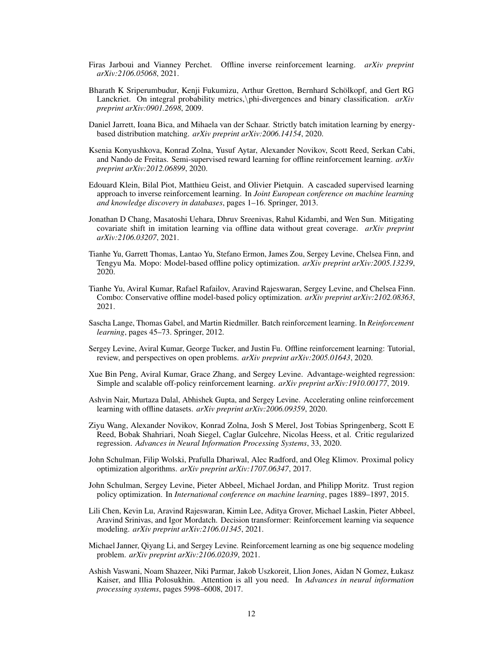- <span id="page-11-0"></span>Firas Jarboui and Vianney Perchet. Offline inverse reinforcement learning. *arXiv preprint arXiv:2106.05068*, 2021.
- <span id="page-11-1"></span>Bharath K Sriperumbudur, Kenji Fukumizu, Arthur Gretton, Bernhard Schölkopf, and Gert RG Lanckriet. On integral probability metrics,\phi-divergences and binary classification. *arXiv preprint arXiv:0901.2698*, 2009.
- <span id="page-11-2"></span>Daniel Jarrett, Ioana Bica, and Mihaela van der Schaar. Strictly batch imitation learning by energybased distribution matching. *arXiv preprint arXiv:2006.14154*, 2020.
- <span id="page-11-3"></span>Ksenia Konyushkova, Konrad Zolna, Yusuf Aytar, Alexander Novikov, Scott Reed, Serkan Cabi, and Nando de Freitas. Semi-supervised reward learning for offline reinforcement learning. *arXiv preprint arXiv:2012.06899*, 2020.
- <span id="page-11-4"></span>Edouard Klein, Bilal Piot, Matthieu Geist, and Olivier Pietquin. A cascaded supervised learning approach to inverse reinforcement learning. In *Joint European conference on machine learning and knowledge discovery in databases*, pages 1–16. Springer, 2013.
- <span id="page-11-5"></span>Jonathan D Chang, Masatoshi Uehara, Dhruv Sreenivas, Rahul Kidambi, and Wen Sun. Mitigating covariate shift in imitation learning via offline data without great coverage. *arXiv preprint arXiv:2106.03207*, 2021.
- <span id="page-11-6"></span>Tianhe Yu, Garrett Thomas, Lantao Yu, Stefano Ermon, James Zou, Sergey Levine, Chelsea Finn, and Tengyu Ma. Mopo: Model-based offline policy optimization. *arXiv preprint arXiv:2005.13239*, 2020.
- <span id="page-11-7"></span>Tianhe Yu, Aviral Kumar, Rafael Rafailov, Aravind Rajeswaran, Sergey Levine, and Chelsea Finn. Combo: Conservative offline model-based policy optimization. *arXiv preprint arXiv:2102.08363*, 2021.
- <span id="page-11-8"></span>Sascha Lange, Thomas Gabel, and Martin Riedmiller. Batch reinforcement learning. In *Reinforcement learning*, pages 45–73. Springer, 2012.
- <span id="page-11-9"></span>Sergey Levine, Aviral Kumar, George Tucker, and Justin Fu. Offline reinforcement learning: Tutorial, review, and perspectives on open problems. *arXiv preprint arXiv:2005.01643*, 2020.
- <span id="page-11-10"></span>Xue Bin Peng, Aviral Kumar, Grace Zhang, and Sergey Levine. Advantage-weighted regression: Simple and scalable off-policy reinforcement learning. *arXiv preprint arXiv:1910.00177*, 2019.
- <span id="page-11-11"></span>Ashvin Nair, Murtaza Dalal, Abhishek Gupta, and Sergey Levine. Accelerating online reinforcement learning with offline datasets. *arXiv preprint arXiv:2006.09359*, 2020.
- <span id="page-11-12"></span>Ziyu Wang, Alexander Novikov, Konrad Zolna, Josh S Merel, Jost Tobias Springenberg, Scott E Reed, Bobak Shahriari, Noah Siegel, Caglar Gulcehre, Nicolas Heess, et al. Critic regularized regression. *Advances in Neural Information Processing Systems*, 33, 2020.
- <span id="page-11-13"></span>John Schulman, Filip Wolski, Prafulla Dhariwal, Alec Radford, and Oleg Klimov. Proximal policy optimization algorithms. *arXiv preprint arXiv:1707.06347*, 2017.
- <span id="page-11-14"></span>John Schulman, Sergey Levine, Pieter Abbeel, Michael Jordan, and Philipp Moritz. Trust region policy optimization. In *International conference on machine learning*, pages 1889–1897, 2015.
- <span id="page-11-15"></span>Lili Chen, Kevin Lu, Aravind Rajeswaran, Kimin Lee, Aditya Grover, Michael Laskin, Pieter Abbeel, Aravind Srinivas, and Igor Mordatch. Decision transformer: Reinforcement learning via sequence modeling. *arXiv preprint arXiv:2106.01345*, 2021.
- <span id="page-11-16"></span>Michael Janner, Qiyang Li, and Sergey Levine. Reinforcement learning as one big sequence modeling problem. *arXiv preprint arXiv:2106.02039*, 2021.
- <span id="page-11-17"></span>Ashish Vaswani, Noam Shazeer, Niki Parmar, Jakob Uszkoreit, Llion Jones, Aidan N Gomez, Łukasz Kaiser, and Illia Polosukhin. Attention is all you need. In *Advances in neural information processing systems*, pages 5998–6008, 2017.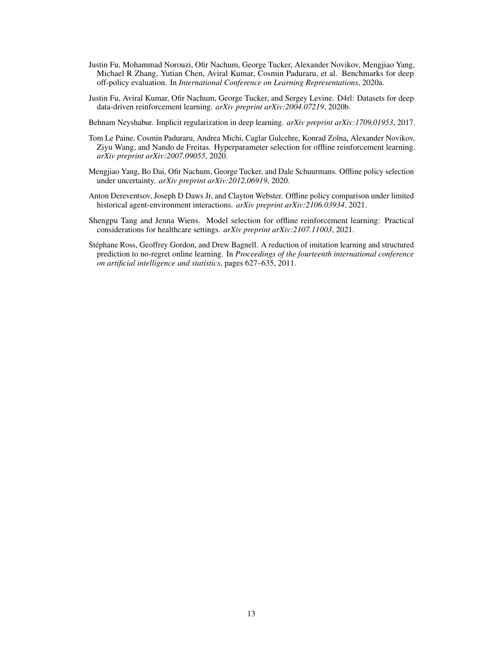- <span id="page-12-0"></span>Justin Fu, Mohammad Norouzi, Ofir Nachum, George Tucker, Alexander Novikov, Mengjiao Yang, Michael R Zhang, Yutian Chen, Aviral Kumar, Cosmin Paduraru, et al. Benchmarks for deep off-policy evaluation. In *International Conference on Learning Representations*, 2020a.
- <span id="page-12-1"></span>Justin Fu, Aviral Kumar, Ofir Nachum, George Tucker, and Sergey Levine. D4rl: Datasets for deep data-driven reinforcement learning. *arXiv preprint arXiv:2004.07219*, 2020b.
- <span id="page-12-2"></span>Behnam Neyshabur. Implicit regularization in deep learning. *arXiv preprint arXiv:1709.01953*, 2017.
- <span id="page-12-3"></span>Tom Le Paine, Cosmin Paduraru, Andrea Michi, Caglar Gulcehre, Konrad Zolna, Alexander Novikov, Ziyu Wang, and Nando de Freitas. Hyperparameter selection for offline reinforcement learning. *arXiv preprint arXiv:2007.09055*, 2020.
- <span id="page-12-4"></span>Mengjiao Yang, Bo Dai, Ofir Nachum, George Tucker, and Dale Schuurmans. Offline policy selection under uncertainty. *arXiv preprint arXiv:2012.06919*, 2020.
- <span id="page-12-5"></span>Anton Dereventsov, Joseph D Daws Jr, and Clayton Webster. Offline policy comparison under limited historical agent-environment interactions. *arXiv preprint arXiv:2106.03934*, 2021.
- <span id="page-12-6"></span>Shengpu Tang and Jenna Wiens. Model selection for offline reinforcement learning: Practical considerations for healthcare settings. *arXiv preprint arXiv:2107.11003*, 2021.
- <span id="page-12-7"></span>Stéphane Ross, Geoffrey Gordon, and Drew Bagnell. A reduction of imitation learning and structured prediction to no-regret online learning. In *Proceedings of the fourteenth international conference on artificial intelligence and statistics*, pages 627–635, 2011.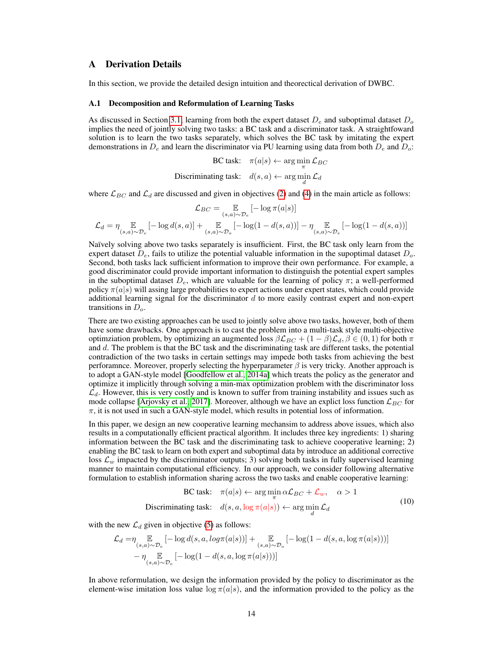## A Derivation Details

In this section, we provide the detailed design intuition and theorectical derivation of DWBC.

#### A.1 Decomposition and Reformulation of Learning Tasks

As discussed in Section [3.1,](#page-2-3) learning from both the expert dataset  $D_e$  and suboptimal dataset  $D_o$ implies the need of jointly solving two tasks: a BC task and a discriminator task. A straightfoward solution is to learn the two tasks separately, which solves the BC task by imitating the expert demonstrations in  $D_e$  and learn the discriminator via PU learning using data from both  $D_e$  and  $D_o$ :

```
BC task: \pi(a|s) \leftarrow \arg \min_{\pi} \mathcal{L}_{BC}Discriminating task: d(s, a) \leftarrow \arg\min_d \mathcal{L}_d
```
where  $\mathcal{L}_{BC}$  and  $\mathcal{L}_d$  are discussed and given in objectives [\(2\)](#page-2-1) and [\(4\)](#page-3-0) in the main article as follows:

$$
\mathcal{L}_{BC} = \underset{(s,a)\sim\mathcal{D}_e}{\mathbb{E}}\left[-\log\pi(a|s)\right]
$$
  

$$
\mathcal{L}_d = \eta\underset{(s,a)\sim\mathcal{D}_e}{\mathbb{E}}\left[-\log d(s,a)\right] + \underset{(s,a)\sim\mathcal{D}_o}{\mathbb{E}}\left[-\log(1-d(s,a))\right] - \eta\underset{(s,a)\sim\mathcal{D}_e}{\mathbb{E}}\left[-\log(1-d(s,a))\right]
$$

Naïvely solving above two tasks separately is insufficient. First, the BC task only learn from the expert dataset  $D_e$ , fails to utilize the potential valuable information in the supoptimal dataset  $D_o$ . Second, both tasks lack sufficient information to improve their own performance. For example, a good discriminator could provide important information to distinguish the potential expert samples in the suboptimal dataset  $D_e$ , which are valuable for the learning of policy  $\pi$ ; a well-performed policy  $\pi(a|s)$  will assing large probabilities to expert actions under expert states, which could provide additional learning signal for the discriminator  $d$  to more easily contrast expert and non-expert transitions in  $D<sub>o</sub>$ .

There are two existing approaches can be used to jointly solve above two tasks, however, both of them have some drawbacks. One approach is to cast the problem into a multi-task style multi-objective optimziation problem, by optimizing an augmented loss  $\beta \mathcal{L}_{BC} + (1 - \beta) \mathcal{L}_d$ ,  $\beta \in (0, 1)$  for both  $\pi$ and  $d$ . The problem is that the BC task and the discriminating task are different tasks, the potential contradiction of the two tasks in certain settings may impede both tasks from achieving the best perforamnce. Moreover, properly selecting the hyperparameter  $\beta$  is very tricky. Another approach is to adopt a GAN-style model [\[Goodfellow et al., 2014a\]](#page-10-2) which treats the policy as the generator and optimize it implicitly through solving a min-max optimization problem with the discriminator loss  $\mathcal{L}_d$ . However, this is very costly and is known to suffer from training instability and issues such as mode collapse [\[Arjovsky et al., 2017\]](#page-10-13). Moreover, although we have an explict loss function  $\mathcal{L}_{BC}$  for  $\pi$ , it is not used in such a GAN-style model, which results in potential loss of information.

In this paper, we design an new cooperative learning mechansim to address above issues, which also results in a computationally efficient practical algorithm. It includes three key ingredients: 1) sharing information between the BC task and the discriminating task to achieve cooperative learning; 2) enabling the BC task to learn on both expert and suboptimal data by introduce an additional corrective loss  $\mathcal{L}_w$  impacted by the discriminator outputs; 3) solving both tasks in fully supervised learning manner to maintain computational efficiency. In our approach, we consider following alternative formulation to establish information sharing across the two tasks and enable cooperative learning:

<span id="page-13-0"></span>BC task: 
$$
\pi(a|s) \leftarrow \arg\min_{\pi} \alpha \mathcal{L}_{BC} + \mathcal{L}_w, \quad \alpha > 1
$$
  
Discriminating task:  $d(s, a, \log \pi(a|s)) \leftarrow \arg\min_{d} \mathcal{L}_d$  (10)

with the new  $\mathcal{L}_d$  given in objective [\(5\)](#page-3-1) as follows:

$$
\begin{split} \mathcal{L}_d=&\eta\mathop{\mathbb{E}}_{(s,a)\sim\mathcal{D}_e}\left[-\log d(s,a,\log \pi(a|s))\right]+\mathop{\mathbb{E}}_{(s,a)\sim\mathcal{D}_o}\left[-\log(1-d(s,a,\log \pi(a|s)))\right]\\ &-\eta\mathop{\mathbb{E}}_{(s,a)\sim\mathcal{D}_e}\left[-\log(1-d(s,a,\log \pi(a|s)))\right] \end{split}
$$

In above reformulation, we design the information provided by the policy to discriminator as the element-wise imitation loss value  $\log \pi(a|s)$ , and the information provided to the policy as the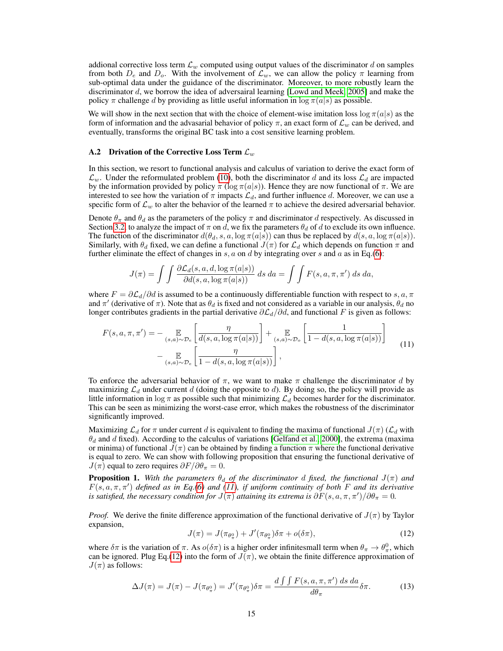addional corrective loss term  $\mathcal{L}_w$  computed using output values of the discriminator d on samples from both  $D_e$  and  $D_o$ . With the involvement of  $\mathcal{L}_w$ , we can allow the policy  $\pi$  learning from sub-optimal data under the guidance of the discriminator. Moreover, to more robustly learn the discriminator d, we borrow the idea of adversairal learning [\[Lowd and Meek, 2005\]](#page-10-7) and make the policy  $\pi$  challenge d by providing as little useful information in  $\log \pi(a|s)$  as possible.

We will show in the next section that with the choice of element-wise imitation loss  $\log \pi(a|s)$  as the form of information and the advasarial behavior of policy  $\pi$ , an exact form of  $\mathcal{L}_w$  can be derived, and eventually, transforms the original BC task into a cost sensitive learning problem.

#### <span id="page-14-0"></span>A.2 Drivation of the Corrective Loss Term  $\mathcal{L}_w$

In this section, we resort to functional analysis and calculus of variation to derive the exact form of  $\mathcal{L}_w$ . Under the reformulated problem [\(10\)](#page-13-0), both the discriminator d and its loss  $\mathcal{L}_d$  are impacted by the information provided by policy  $\pi$  (log  $\pi(a|s)$ ). Hence they are now functional of  $\pi$ . We are interested to see how the variation of  $\pi$  impacts  $\mathcal{L}_d$ , and further influence d. Moreover, we can use a specific form of  $\mathcal{L}_w$  to alter the behavior of the learned  $\pi$  to achieve the desired adversarial behavior.

Denote  $\theta_{\pi}$  and  $\theta_{d}$  as the parameters of the policy  $\pi$  and discriminator d respectively. As discussed in Section [3.2,](#page-3-2) to analyze the impact of  $\pi$  on d, we fix the parameters  $\theta_d$  of d to exclude its own influence. The function of the discriminator  $d(\theta_d, s, a, \log \pi(a|s))$  can thus be replaced by  $d(s, a, \log \pi(a|s))$ . Similarly, with  $\theta_d$  fixed, we can define a functional  $J(\pi)$  for  $\mathcal{L}_d$  which depends on function  $\pi$  and further eliminate the effect of changes in  $s, a$  on d by integrating over  $s$  and  $a$  as in Eq.[\(6\)](#page-3-3):

<span id="page-14-1"></span>
$$
J(\pi) = \int \int \frac{\partial \mathcal{L}_d(s, a, d, \log \pi(a|s))}{\partial d(s, a, \log \pi(a|s))} ds da = \int \int F(s, a, \pi, \pi') ds da,
$$

where  $F = \partial \mathcal{L}_d / \partial d$  is assumed to be a continuously differentiable function with respect to s, a,  $\pi$ and  $\pi'$  (derivative of  $\pi$ ). Note that as  $\theta_d$  is fixed and not considered as a variable in our analysis,  $\theta_d$  no longer contributes gradients in the partial derivative  $\partial \mathcal{L}_d/\partial d$ , and functional F is given as follows:

$$
F(s, a, \pi, \pi') = -\underset{(s, a) \sim \mathcal{D}_e}{\mathbb{E}} \left[ \frac{\eta}{d(s, a, \log \pi(a|s))} \right] + \underset{(s, a) \sim \mathcal{D}_o}{\mathbb{E}} \left[ \frac{1}{1 - d(s, a, \log \pi(a|s))} \right]
$$

$$
-\underset{(s, a) \sim \mathcal{D}_e}{\mathbb{E}} \left[ \frac{\eta}{1 - d(s, a, \log \pi(a|s))} \right],
$$
(11)

To enforce the adversarial behavior of  $\pi$ , we want to make  $\pi$  challenge the discriminator d by maximizing  $\mathcal{L}_d$  under current d (doing the opposite to d). By doing so, the policy will provide as little information in  $\log \pi$  as possible such that minimizing  $\mathcal{L}_d$  becomes harder for the discriminator. This can be seen as minimizing the worst-case error, which makes the robustness of the discriminator significantly improved.

Maximizing  $\mathcal{L}_d$  for  $\pi$  under current d is equivalent to finding the maxima of functional  $J(\pi)$  ( $\mathcal{L}_d$  with  $\theta_d$  and d fixed). According to the calculus of variations [\[Gelfand et al., 2000\]](#page-10-11), the extrema (maxima or minima) of functional  $J(\pi)$  can be obtained by finding a function  $\pi$  where the functional derivative is equal to zero. We can show with following proposition that ensuring the functional derivative of  $J(\pi)$  equal to zero requires  $\partial F/\partial \theta_{\pi} = 0$ .

**Proposition 1.** With the parameters  $\theta_d$  of the discriminator d fixed, the functional  $J(\pi)$  and F(s, a, π, π′ ) *defined as in Eq.[\(6\)](#page-3-3) and [\(11\)](#page-14-1), if uniform continuity of both* F *and its derivative is satisfied, the necessary condition for*  $J(\pi)$  *attaining its extrema is*  $\partial F(s,a,\pi,\pi')/\partial \theta_\pi = 0$ *.* 

<span id="page-14-2"></span>*Proof.* We derive the finite difference approximation of the functional derivative of  $J(\pi)$  by Taylor expansion,

$$
J(\pi) = J(\pi_{\theta_{\pi}^{0}}) + J'(\pi_{\theta_{\pi}^{0}})\delta\pi + o(\delta\pi),
$$
\n(12)

where  $\delta\pi$  is the variation of  $\pi$ . As  $o(\delta\pi)$  is a higher order infinitesmall term when  $\theta_\pi \to \theta_\pi^0$ , which can be ignored. Plug Eq.[\(12\)](#page-14-2) into the form of  $J(\pi)$ , we obtain the finite difference approximation of  $J(\pi)$  as follows:

$$
\Delta J(\pi) = J(\pi) - J(\pi_{\theta_{\pi}^0}) = J'(\pi_{\theta_{\pi}^0})\delta\pi = \frac{d\int\int F(s, a, \pi, \pi')\,ds\,da}{d\theta_{\pi}}\delta\pi.
$$
 (13)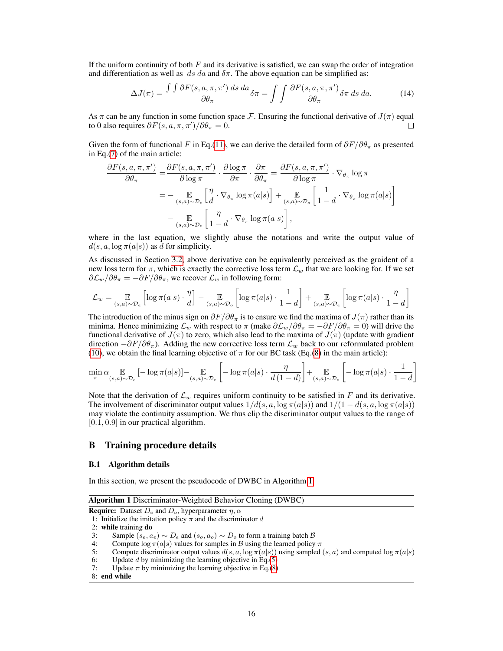If the uniform continuity of both  $F$  and its derivative is satisfied, we can swap the order of integration and differentiation as well as ds da and  $\delta \pi$ . The above equation can be simplified as:

$$
\Delta J(\pi) = \frac{\int \int \partial F(s, a, \pi, \pi') ds da}{\partial \theta_{\pi}} \delta \pi = \int \int \frac{\partial F(s, a, \pi, \pi')}{\partial \theta_{\pi}} \delta \pi ds da. \tag{14}
$$

As  $\pi$  can be any function in some function space F. Ensuring the functional derivative of  $J(\pi)$  equal to 0 also requires  $\partial F(s, a, \pi, \pi') / \partial \theta_{\pi} = 0$ . П

Given the form of functional F in Eq.[\(11\)](#page-14-1), we can derive the detailed form of  $\partial F/\partial \theta_{\pi}$  as presented in Eq.[\(7\)](#page-4-2) of the main article:

$$
\frac{\partial F(s, a, \pi, \pi')}{\partial \theta_{\pi}} = \frac{\partial F(s, a, \pi, \pi')}{\partial \log \pi} \cdot \frac{\partial \log \pi}{\partial \pi} \cdot \frac{\partial \pi}{\partial \theta_{\pi}} = \frac{\partial F(s, a, \pi, \pi')}{\partial \log \pi} \cdot \nabla_{\theta_{\pi}} \log \pi
$$
\n
$$
= - \mathop{\mathbb{E}}_{(s, a) \sim \mathcal{D}_e} \left[ \frac{\eta}{d} \cdot \nabla_{\theta_{\pi}} \log \pi(a|s) \right] + \mathop{\mathbb{E}}_{(s, a) \sim \mathcal{D}_o} \left[ \frac{1}{1 - d} \cdot \nabla_{\theta_{\pi}} \log \pi(a|s) \right]
$$
\n
$$
- \mathop{\mathbb{E}}_{(s, a) \sim \mathcal{D}_e} \left[ \frac{\eta}{1 - d} \cdot \nabla_{\theta_{\pi}} \log \pi(a|s) \right],
$$

where in the last equation, we slightly abuse the notations and write the output value of  $d(s, a, \log \pi(a|s))$  as d for simplicity.

As discussed in Section [3.2,](#page-3-2) above derivative can be equivalently perceived as the graident of a new loss term for  $\pi$ , which is exactly the corrective loss term  $\mathcal{L}_w$  that we are looking for. If we set  $\partial \mathcal{L}_w / \partial \theta_\pi = -\partial F / \partial \theta_\pi$ , we recover  $\mathcal{L}_w$  in following form:

$$
\mathcal{L}_w = \mathop{\mathbb{E}}_{(s,a)\sim\mathcal{D}_e} \left[ \log \pi(a|s) \cdot \frac{\eta}{d} \right] - \mathop{\mathbb{E}}_{(s,a)\sim\mathcal{D}_o} \left[ \log \pi(a|s) \cdot \frac{1}{1-d} \right] + \mathop{\mathbb{E}}_{(s,a)\sim\mathcal{D}_e} \left[ \log \pi(a|s) \cdot \frac{\eta}{1-d} \right]
$$

The introduction of the minus sign on  $\partial F/\partial \theta_{\pi}$  is to ensure we find the maxima of  $J(\pi)$  rather than its minima. Hence minimizing  $\mathcal{L}_w$  with respect to  $\pi$  (make  $\partial \mathcal{L}_w/\partial \theta_\pi = -\partial F/\partial \theta_\pi = 0$ ) will drive the functional derivative of  $J(\pi)$  to zero, which also lead to the maxima of  $J(\pi)$  (update with gradient direction  $-\partial F/\partial \theta_{\pi}$ ). Adding the new corrective loss term  $\mathcal{L}_w$  back to our reformulated problem [\(10\)](#page-13-0), we obtain the final learning objective of  $\pi$  for our BC task (Eq.[\(8\)](#page-4-0) in the main article):

$$
\min_{\pi} \alpha \mathop{\mathbb{E}}_{(s,a)\sim \mathcal{D}_e} \left[ -\log \pi(a|s) \right] - \mathop{\mathbb{E}}_{(s,a)\sim \mathcal{D}_e} \left[ -\log \pi(a|s) \cdot \frac{\eta}{d\left(1-d\right)} \right] + \mathop{\mathbb{E}}_{(s,a)\sim \mathcal{D}_o} \left[ -\log \pi(a|s) \cdot \frac{1}{1-d} \right]
$$

Note that the derivation of  $\mathcal{L}_w$  requires uniform continuity to be satisfied in F and its derivative. The involvement of discriminator output values  $1/d(s, a, \log \pi(a|s))$  and  $1/(1 - d(s, a, \log \pi(a|s))$ may violate the continuity assumption. We thus clip the discriminator output values to the range of [0.1, 0.9] in our practical algorithm.

## B Training procedure details

#### B.1 Algorithm details

In this section, we present the pseudocode of DWBC in Algorithm [1.](#page-15-0)

Algorithm 1 Discriminator-Weighted Behavior Cloning (DWBC)

```
Require: Dataset D_e and D_o, hyperparameter \eta, \alpha
```
1: Initialize the imitation policy  $\pi$  and the discriminator d

2: while training do

- 3: Sample  $(s_e, a_e) \sim D_e$  and  $(s_o, a_o) \sim D_o$  to form a training batch  $\beta$
- 4: Compute  $\log \pi(a|s)$  values for samples in B using the learned policy  $\pi$ <br>5: Compute discriminator output values  $d(s, a, \log \pi(a|s))$  using sampled
- Compute discriminator output values  $d(s, a, \log \pi(a|s))$  using sampled  $(s, a)$  and computed  $\log \pi(a|s)$
- 6: Update *d* by minimizing the learning objective in Eq.[\(5\)](#page-3-1) 7: Update  $\pi$  by minimizing the learning objective in Eq.(8)
- Update  $\pi$  by minimizing the learning objective in Eq.[\(8\)](#page-4-0)
- 8: end while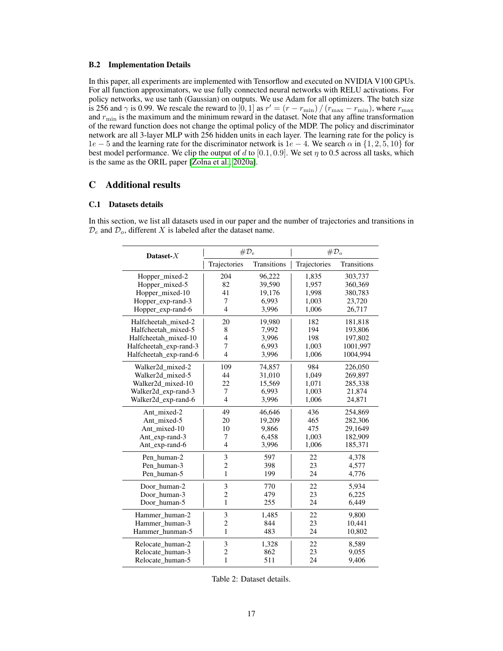#### B.2 Implementation Details

In this paper, all experiments are implemented with Tensorflow and executed on NVIDIA V100 GPUs. For all function approximators, we use fully connected neural networks with RELU activations. For policy networks, we use tanh (Gaussian) on outputs. We use Adam for all optimizers. The batch size is 256 and  $\gamma$  is 0.99. We rescale the reward to [0, 1] as  $r' = (r - r_{\min}) / (r_{\max} - r_{\min})$ , where  $r_{\max}$ and  $r_{\min}$  is the maximum and the minimum reward in the dataset. Note that any affine transformation of the reward function does not change the optimal policy of the MDP. The policy and discriminator network are all 3-layer MLP with 256 hidden units in each layer. The learning rate for the policy is  $1e - 5$  and the learning rate for the discriminator network is  $1e - 4$ . We search  $\alpha$  in  $\{1, 2, 5, 10\}$  for best model performance. We clip the output of d to  $[0.1, 0.9]$ . We set  $\eta$  to 0.5 across all tasks, which is the same as the ORIL paper [\[Zolna et al., 2020a\]](#page-9-10).

# C Additional results

## C.1 Datasets details

In this section, we list all datasets used in our paper and the number of trajectories and transitions in  $\mathcal{D}_e$  and  $\mathcal{D}_o$ , different X is labeled after the dataset name.

| Dataset- $X$           | $\#D_e$        |             | $\#D_{\alpha}$ |                    |  |
|------------------------|----------------|-------------|----------------|--------------------|--|
|                        | Trajectories   | Transitions | Trajectories   | <b>Transitions</b> |  |
| Hopper_mixed-2         | 204            | 96,222      | 1,835          | 303,737            |  |
| Hopper_mixed-5         | 82             | 39,590      | 1,957          | 360,369            |  |
| Hopper_mixed-10        | 41             | 19,176      | 1,998          | 380,783            |  |
| Hopper_exp-rand-3      | 7              | 6,993       | 1,003          | 23,720             |  |
| Hopper_exp-rand-6      | $\overline{4}$ | 3,996       | 1,006          | 26,717             |  |
| Halfcheetah mixed-2    | 20             | 19,980      | 182            | 181,818            |  |
| Halfcheetah mixed-5    | 8              | 7,992       | 194            | 193,806            |  |
| Halfcheetah mixed-10   | 4              | 3,996       | 198            | 197,802            |  |
| Halfcheetah_exp-rand-3 | 7              | 6,993       | 1,003          | 1001,997           |  |
| Halfcheetah exp-rand-6 | $\overline{4}$ | 3,996       | 1,006          | 1004,994           |  |
| Walker2d_mixed-2       | 109            | 74,857      | 984            | 226,050            |  |
| Walker2d_mixed-5       | 44             | 31,010      | 1,049          | 269,897            |  |
| Walker2d_mixed-10      | 22             | 15,569      | 1,071          | 285,338            |  |
| Walker2d_exp-rand-3    | 7              | 6,993       | 1,003          | 21,874             |  |
| Walker2d_exp-rand-6    | $\overline{4}$ | 3,996       | 1,006          | 24,871             |  |
| Ant mixed-2            | 49             | 46,646      | 436            | 254,869            |  |
| Ant_mixed-5            | 20             | 19,209      | 465            | 282,306            |  |
| Ant mixed-10           | 10             | 9,866       | 475            | 29,1649            |  |
| Ant_exp-rand-3         | 7              | 6,458       | 1,003          | 182,909            |  |
| Ant_exp-rand-6         | $\overline{4}$ | 3,996       | 1,006          | 185,371            |  |
| Pen human-2            | 3              | 597         | 22             | 4,378              |  |
| Pen_human-3            | $\overline{2}$ | 398         | 23             | 4,577              |  |
| Pen human-5            | $\mathbf{1}$   | 199         | 24             | 4,776              |  |
| Door_human-2           | 3              | 770         | 22             | 5,934              |  |
| Door human-3           | $\overline{c}$ | 479         | 23             | 6,225              |  |
| Door human-5           | $\mathbf{1}$   | 255         | 24             | 6,449              |  |
| Hammer human-2         | 3              | 1,485       | 22             | 9,800              |  |
| Hammer human-3         | $\overline{c}$ | 844         | 23             | 10,441             |  |
| Hammer_hunman-5        | 1              | 483         | 24             | 10,802             |  |
| Relocate_human-2       | 3              | 1,328       | 22             | 8,589              |  |
| Relocate human-3       | $\overline{c}$ | 862         | 23             | 9,055              |  |
| Relocate human-5       | $\mathbf{1}$   | 511         | 24             | 9,406              |  |

Table 2: Dataset details.